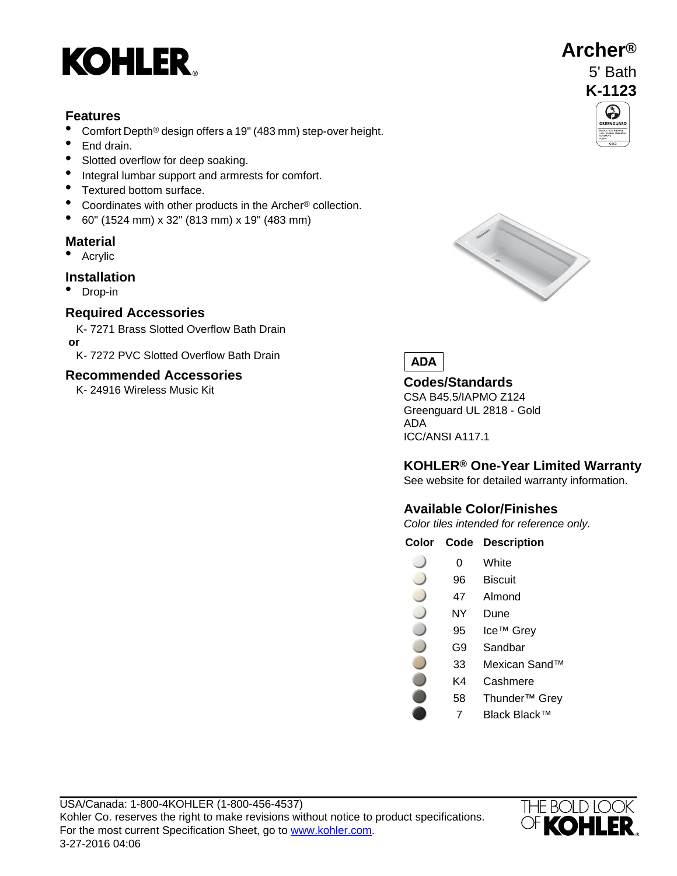

# **Features**

- Comfort Depth<sup>®</sup> design offers a 19" (483 mm) step-over height.<br>• End drain
- End drain.
- Slotted overflow for deep soaking.
- Integral lumbar support and armrests for comfort.
- Textured bottom surface.
- Coordinates with other products in the Archer® collection.
- 60" (1524 mm) x 32" (813 mm) x 19" (483 mm)

## **Material**

• Acrylic

## **Installation**

• Drop-in

## **Required Accessories**

- K- 7271 Brass Slotted Overflow Bath Drain  **or**
- K- 7272 PVC Slotted Overflow Bath Drain

## **Recommended Accessories**

K- 24916 Wireless Music Kit **Codes/Standards**





CSA B45.5/IAPMO Z124 Greenguard UL 2818 - Gold ADA ICC/ANSI A117.1

# **KOHLER® One-Year Limited Warranty**

See website for detailed warranty information.

# **Available Color/Finishes**

Color tiles intended for reference only.

**Color Code Description**

- 0 White
- 96 Biscuit
- 47 Almond
- NY Dune
- 95 Ice™ Grey
- G9 Sandbar
- 33 Mexican Sand™
- K4 Cashmere
- 58 Thunder™ Grey
	- 7 Black Black™



**Archer®**

5' Bath **K-1123**